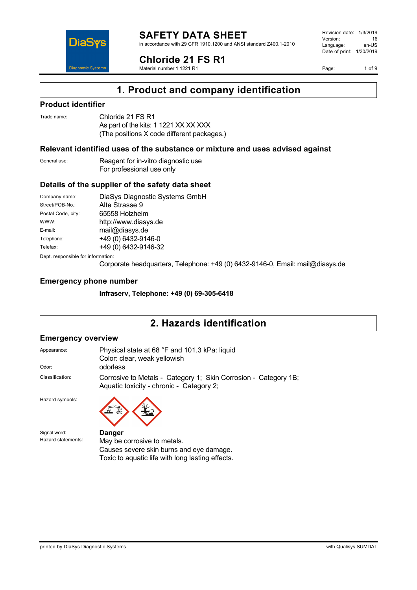

in accordance with 29 CFR 1910.1200 and ANSI standard Z400.1-2010



Material number 1 1221 R1

Revision date: 1/3/2019 Version: 16<br>Language: en-LIS Language: Date of print: 1/30/2019

Page: 1 of 9

## **1. Product and company identification**

### **Product identifier**

DiaS

**Diagnostic System** 

Trade name: Chloride 21 FS R1 As part of the kits: 1 1221 XX XX XXX (The positions X code different packages.)

### **Relevant identified uses of the substance or mixture and uses advised against**

General use: Reagent for in-vitro diagnostic use For professional use only

### **Details of the supplier of the safety data sheet**

Company name: DiaSys Diagnostic Systems GmbH Street/POB-No.: Alte Strasse 9 Postal Code, city: 65558 Holzheim WWW: <http://www.diasys.de> E-mail: mail@diasys.de Telephone: +49 (0) 6432-9146-0 Telefax: +49 (0) 6432-9146-32

Dept. responsible for information:

Corporate headquarters, Telephone: +49 (0) 6432-9146-0, Email: mail@diasys.de

### **Emergency phone number**

**Infraserv, Telephone: +49 (0) 69-305-6418**

### **2. Hazards identification**

### **Emergency overview**

| Appearance:     | Physical state at 68 °F and 101.3 kPa: liquid<br>Color: clear, weak yellowish                               |
|-----------------|-------------------------------------------------------------------------------------------------------------|
| Odor:           | odorless                                                                                                    |
| Classification: | Corrosive to Metals - Category 1; Skin Corrosion - Category 1B;<br>Aquatic toxicity - chronic - Category 2; |

Hazard symbols:

Signal word: **Danger**<br>
Hazard statements: May be



May be corrosive to metals. Causes severe skin burns and eye damage. Toxic to aquatic life with long lasting effects.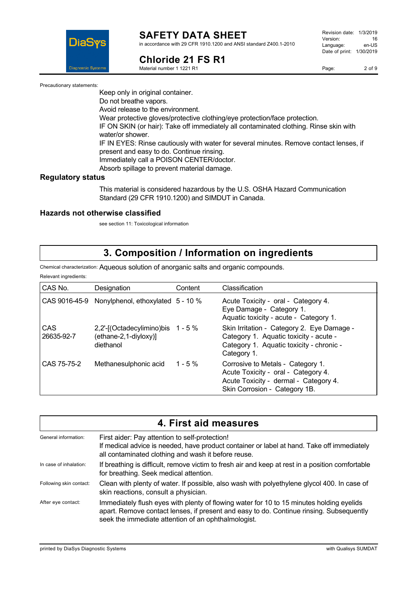

#### **SAFETY DATA SHEET** in accordance with 29 CFR 1910.1200 and ANSI standard Z400.1-2010

**Chloride 21 FS R1**

Material number 1 1221 R1

Page: 2 of 9

Precautionary statements:

Keep only in original container.

Do not breathe vapors.

Avoid release to the environment.

Wear protective gloves/protective clothing/eye protection/face protection.

IF ON SKIN (or hair): Take off immediately all contaminated clothing. Rinse skin with water/or shower.

IF IN EYES: Rinse cautiously with water for several minutes. Remove contact lenses, if present and easy to do. Continue rinsing.

Immediately call a POISON CENTER/doctor. Absorb spillage to prevent material damage.

**Regulatory status**

This material is considered hazardous by the U.S. OSHA Hazard Communication Standard (29 CFR 1910.1200) and SIMDUT in Canada.

### **Hazards not otherwise classified**

see section 11: Toxicological information

## **3. Composition / Information on ingredients**

Chemical characterization: Aqueous solution of anorganic salts and organic compounds.

Relevant ingredients:

| CAS No.           | Designation                                                             | Content   | Classification                                                                                                                                     |
|-------------------|-------------------------------------------------------------------------|-----------|----------------------------------------------------------------------------------------------------------------------------------------------------|
|                   | CAS 9016-45-9 Nonylphenol, ethoxylated 5 - 10 %                         |           | Acute Toxicity - oral - Category 4.<br>Eye Damage - Category 1.<br>Aquatic toxicity - acute - Category 1.                                          |
| CAS<br>26635-92-7 | 2,2'-[(Octadecylimino)bis 1 - 5 %<br>(ethane-2,1-diyloxy)]<br>diethanol |           | Skin Irritation - Category 2. Eye Damage -<br>Category 1. Aquatic toxicity - acute -<br>Category 1. Aquatic toxicity - chronic -<br>Category 1.    |
| CAS 75-75-2       | Methanesulphonic acid                                                   | 1 - 5 $%$ | Corrosive to Metals - Category 1.<br>Acute Toxicity - oral - Category 4.<br>Acute Toxicity - dermal - Category 4.<br>Skin Corrosion - Category 1B. |

| 4. First aid measures   |                                                                                                                                                                                                                                            |  |
|-------------------------|--------------------------------------------------------------------------------------------------------------------------------------------------------------------------------------------------------------------------------------------|--|
| General information:    | First aider: Pay attention to self-protection!<br>If medical advice is needed, have product container or label at hand. Take off immediately<br>all contaminated clothing and wash it before reuse.                                        |  |
| In case of inhalation:  | If breathing is difficult, remove victim to fresh air and keep at rest in a position comfortable<br>for breathing. Seek medical attention.                                                                                                 |  |
| Following skin contact: | Clean with plenty of water. If possible, also wash with polyethylene glycol 400. In case of<br>skin reactions, consult a physician.                                                                                                        |  |
| After eye contact:      | Immediately flush eyes with plenty of flowing water for 10 to 15 minutes holding eyelids<br>apart. Remove contact lenses, if present and easy to do. Continue rinsing. Subsequently<br>seek the immediate attention of an ophthalmologist. |  |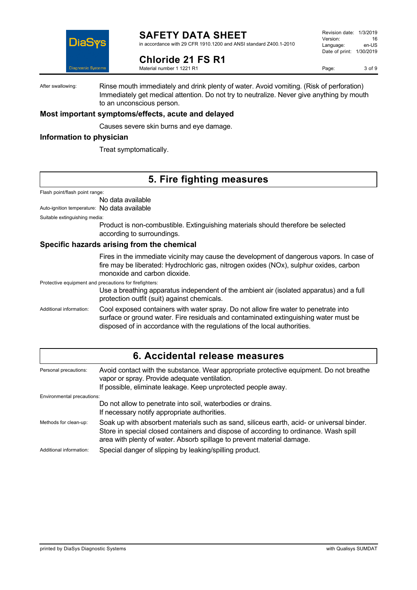

in accordance with 29 CFR 1910.1200 and ANSI standard Z400.1-2010

Revision date: 1/3/2019 Version: 16<br>Language: en-LIS Language: Date of print: 1/30/2019

**Chloride 21 FS R1**

Material number 1 1221 R1

Page: 3 of 9

After swallowing: Rinse mouth immediately and drink plenty of water. Avoid vomiting. (Risk of perforation) Immediately get medical attention. Do not try to neutralize. Never give anything by mouth to an unconscious person.

### **Most important symptoms/effects, acute and delayed**

Causes severe skin burns and eye damage.

### **Information to physician**

Treat symptomatically.

## **5. Fire fighting measures**

Flash point/flash point range:

No data available

Auto-ignition temperature: No data available

Suitable extinguishing media:

Product is non-combustible. Extinguishing materials should therefore be selected according to surroundings.

### **Specific hazards arising from the chemical**

Fires in the immediate vicinity may cause the development of dangerous vapors. In case of fire may be liberated: Hydrochloric gas, nitrogen oxides (NOx), sulphur oxides, carbon monoxide and carbon dioxide.

Protective equipment and precautions for firefighters:

Use a breathing apparatus independent of the ambient air (isolated apparatus) and a full protection outfit (suit) against chemicals.

Additional information: Cool exposed containers with water spray. Do not allow fire water to penetrate into surface or ground water. Fire residuals and contaminated extinguishing water must be disposed of in accordance with the regulations of the local authorities.

| 6. Accidental release measures |                                                                                                                                                                                                                                                             |  |
|--------------------------------|-------------------------------------------------------------------------------------------------------------------------------------------------------------------------------------------------------------------------------------------------------------|--|
| Personal precautions:          | Avoid contact with the substance. Wear appropriate protective equipment. Do not breathe<br>vapor or spray. Provide adequate ventilation.<br>If possible, eliminate leakage. Keep unprotected people away.                                                   |  |
| Environmental precautions:     |                                                                                                                                                                                                                                                             |  |
|                                | Do not allow to penetrate into soil, waterbodies or drains.<br>If necessary notify appropriate authorities.                                                                                                                                                 |  |
| Methods for clean-up:          | Soak up with absorbent materials such as sand, siliceus earth, acid- or universal binder.<br>Store in special closed containers and dispose of according to ordinance. Wash spill<br>area with plenty of water. Absorb spillage to prevent material damage. |  |
| Additional information:        | Special danger of slipping by leaking/spilling product.                                                                                                                                                                                                     |  |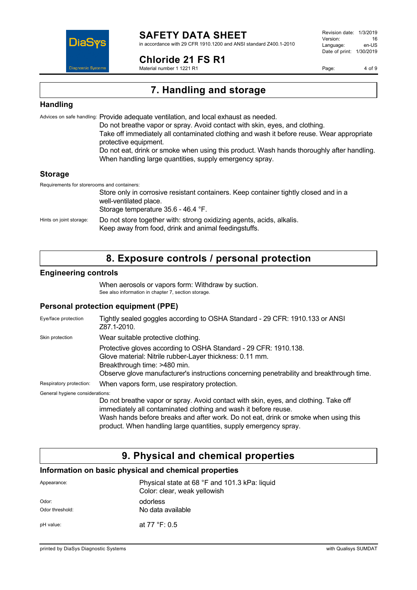

in accordance with 29 CFR 1910.1200 and ANSI standard Z400.1-2010

**Chloride 21 FS R1**

Material number 1 1221 R1

Revision date: 1/3/2019 Version: 16<br>Language: en-LIS Language: Date of print: 1/30/2019

Page: 4 of 9

## **7. Handling and storage**

### **Handling**

Advices on safe handling: Provide adequate ventilation, and local exhaust as needed. Do not breathe vapor or spray. Avoid contact with skin, eyes, and clothing. Take off immediately all contaminated clothing and wash it before reuse. Wear appropriate protective equipment. Do not eat, drink or smoke when using this product. Wash hands thoroughly after handling. When handling large quantities, supply emergency spray. **Storage**

Requirements for storerooms and containers:

Store only in corrosive resistant containers. Keep container tightly closed and in a well-ventilated place. Storage temperature 35.6 - 46.4 °F. Hints on joint storage: Do not store together with: strong oxidizing agents, acids, alkalis. Keep away from food, drink and animal feedingstuffs.

## **8. Exposure controls / personal protection**

### **Engineering controls**

When aerosols or vapors form: Withdraw by suction. See also information in chapter 7, section storage.

### **Personal protection equipment (PPE)**

| Eye/face protection             | Tightly sealed goggles according to OSHA Standard - 29 CFR: 1910.133 or ANSI<br>Z87.1-2010.                                                                                                                                                                                                                        |
|---------------------------------|--------------------------------------------------------------------------------------------------------------------------------------------------------------------------------------------------------------------------------------------------------------------------------------------------------------------|
| Skin protection                 | Wear suitable protective clothing.                                                                                                                                                                                                                                                                                 |
|                                 | Protective gloves according to OSHA Standard - 29 CFR: 1910.138.<br>Glove material: Nitrile rubber-Layer thickness: 0.11 mm.<br>Breakthrough time: >480 min.<br>Observe glove manufacturer's instructions concerning penetrability and breakthrough time.                                                          |
| Respiratory protection:         | When vapors form, use respiratory protection.                                                                                                                                                                                                                                                                      |
| General hygiene considerations: |                                                                                                                                                                                                                                                                                                                    |
|                                 | Do not breathe vapor or spray. Avoid contact with skin, eyes, and clothing. Take off<br>immediately all contaminated clothing and wash it before reuse.<br>Wash hands before breaks and after work. Do not eat, drink or smoke when using this<br>product. When handling large quantities, supply emergency spray. |

# **9. Physical and chemical properties**

### **Information on basic physical and chemical properties**

| Appearance:              | Physical state at 68 °F and 101.3 kPa: liquid<br>Color: clear, weak yellowish |
|--------------------------|-------------------------------------------------------------------------------|
| Odor:<br>Odor threshold: | odorless<br>No data available                                                 |
| pH value:                | at 77 °F: 0.5                                                                 |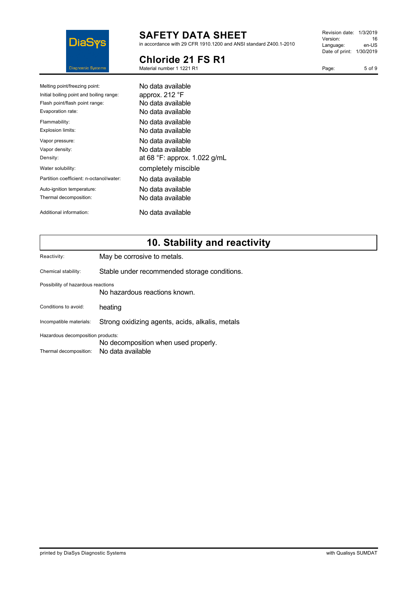

in accordance with 29 CFR 1910.1200 and ANSI standard Z400.1-2010

## **Chloride 21 FS R1**

Material number 1 1221 R1

| Revision date: | 1/3/2019  |
|----------------|-----------|
| Version:       | 16        |
| Language:      | en-US     |
| Date of print: | 1/30/2019 |
|                |           |

Page: 5 of 9

| Melting point/freezing point:            | No data available                     |
|------------------------------------------|---------------------------------------|
| Initial boiling point and boiling range: | approx. 212 °F                        |
| Flash point/flash point range:           | No data available                     |
| Evaporation rate:                        | No data available                     |
| Flammability:                            | No data available                     |
| Explosion limits:                        | No data available.                    |
| Vapor pressure:                          | No data available                     |
| Vapor density:                           | No data available                     |
| Density:                                 | at 68 $\degree$ F: approx. 1.022 g/mL |
| Water solubility:                        | completely miscible                   |
| Partition coefficient: n-octanol/water:  | No data available                     |
| Auto-ignition temperature:               | No data available                     |
| Thermal decomposition:                   | No data available                     |
| Additional information:                  | No data available                     |

# **10. Stability and reactivity**

| Reactivity:                                                               | May be corrosive to metals.                     |  |
|---------------------------------------------------------------------------|-------------------------------------------------|--|
| Chemical stability:                                                       | Stable under recommended storage conditions.    |  |
| Possibility of hazardous reactions                                        | No hazardous reactions known.                   |  |
| Conditions to avoid:                                                      | heating                                         |  |
| Incompatible materials:                                                   | Strong oxidizing agents, acids, alkalis, metals |  |
| Hazardous decomposition products:<br>No decomposition when used properly. |                                                 |  |
| Thermal decomposition:                                                    | No data available                               |  |
|                                                                           |                                                 |  |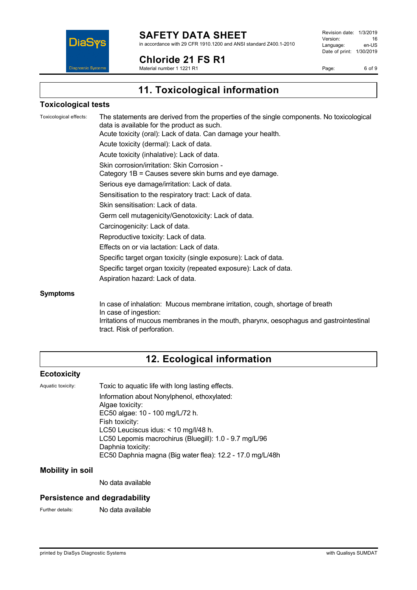

**Chloride 21 FS R1**

Material number 1 1221 R1

Revision date: 1/3/2019 Version: 16<br>Language: en-LIS Language: Date of print: 1/30/2019

Page: 6 of 9

**11. Toxicological information**

### **Toxicological tests**

Toxicological effects: The statements are derived from the properties of the single components. No toxicological data is available for the product as such. Acute toxicity (oral): Lack of data. Can damage your health. Acute toxicity (dermal): Lack of data. Acute toxicity (inhalative): Lack of data. Skin corrosion/irritation: Skin Corrosion - Category 1B = Causes severe skin burns and eye damage. Serious eye damage/irritation: Lack of data. Sensitisation to the respiratory tract: Lack of data. Skin sensitisation: Lack of data. Germ cell mutagenicity/Genotoxicity: Lack of data. Carcinogenicity: Lack of data. Reproductive toxicity: Lack of data. Effects on or via lactation: Lack of data. Specific target organ toxicity (single exposure): Lack of data. Specific target organ toxicity (repeated exposure): Lack of data. Aspiration hazard: Lack of data. **Symptoms**

In case of inhalation: Mucous membrane irritation, cough, shortage of breath In case of ingestion: Irritations of mucous membranes in the mouth, pharynx, oesophagus and gastrointestinal tract. Risk of perforation.

## **12. Ecological information**

### **Ecotoxicity**

Aquatic toxicity: Toxic to aquatic life with long lasting effects. Information about Nonylphenol, ethoxylated: Algae toxicity: EC50 algae: 10 - 100 mg/L/72 h. Fish toxicity: LC50 Leuciscus idus: < 10 mg/l/48 h. LC50 Lepomis macrochirus (Bluegill): 1.0 - 9.7 mg/L/96 Daphnia toxicity: EC50 Daphnia magna (Big water flea): 12.2 - 17.0 mg/L/48h

### **Mobility in soil**

No data available

### **Persistence and degradability**

Further details: No data available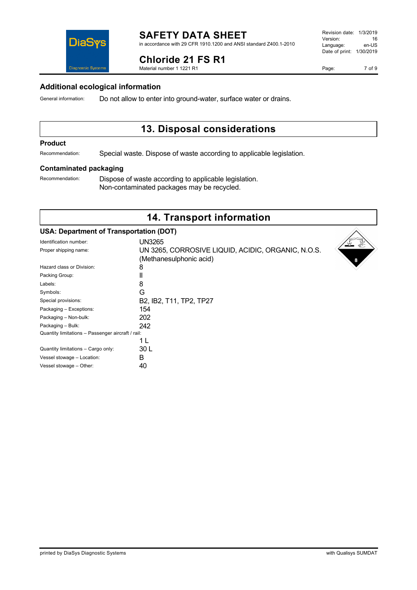| Quantity limitations – Passenger aircraft / rail: |     |
|---------------------------------------------------|-----|
|                                                   | 1 I |
| Quantity limitations - Cargo only:                | 30  |
| Vessel stowage - Location:                        | R   |
| Vessel stowage - Other:                           |     |

printed by DiaSys Diagnostic Systems with Qualisys SUMDAT

#### **SAFETY DATA SHEET** in accordance with 29 CFR 1910.1200 and ANSI standard Z400.1-2010

**Chloride 21 FS R1**

Material number 1 1221 R1

### **Additional ecological information**

General information: Do not allow to enter into ground-water, surface water or drains.

## **13. Disposal considerations**

### **Product**

Recommendation: Special waste. Dispose of waste according to applicable legislation.

#### **Contaminated packaging**

Recommendation: Dispose of waste according to applicable legislation. Non-contaminated packages may be recycled.

### **14. Transport information**

| <b>USA: Department of Transportation (DOT)</b>    |                                                                               |   |
|---------------------------------------------------|-------------------------------------------------------------------------------|---|
| Identification number:                            | <b>UN3265</b>                                                                 |   |
| Proper shipping name:                             | UN 3265, CORROSIVE LIQUID, ACIDIC, ORGANIC, N.O.S.<br>(Methanesulphonic acid) | 8 |
| Hazard class or Division:                         | 8                                                                             |   |
| Packing Group:                                    |                                                                               |   |
| Labels:                                           | 8                                                                             |   |
| Symbols:                                          | G                                                                             |   |
| Special provisions:                               | B2, IB2, T11, TP2, TP27                                                       |   |
| Packaging - Exceptions:                           | 154                                                                           |   |
| Packaging - Non-bulk:                             | 202                                                                           |   |
| Packaging - Bulk:                                 | 242                                                                           |   |
| Quantity limitations - Passenger aircraft / rail: |                                                                               |   |
|                                                   | 1 L                                                                           |   |
| Quantity limitations - Cargo only:                | 30 L                                                                          |   |
| Vessel stowage - Location:                        | в                                                                             |   |
| Vessel stowage - Other:                           | 40                                                                            |   |



Page: 7 of 9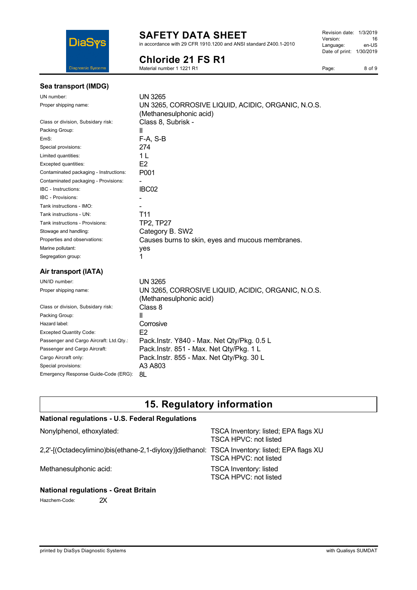

in accordance with 29 CFR 1910.1200 and ANSI standard Z400.1-2010

## **Chloride 21 FS R1**

Material number 1 1221 R1

Page: 8 of 9

| Sea transport (IMDG)                    |                                                                               |
|-----------------------------------------|-------------------------------------------------------------------------------|
| UN number:                              | UN 3265                                                                       |
| Proper shipping name:                   | UN 3265, CORROSIVE LIQUID, ACIDIC, ORGANIC, N.O.S.<br>(Methanesulphonic acid) |
| Class or division, Subsidary risk:      | Class 8, Subrisk -                                                            |
| Packing Group:                          | Ш                                                                             |
| EmS:                                    | F-A, S-B                                                                      |
| Special provisions:                     | 274                                                                           |
| Limited quantities:                     | 1 <sub>L</sub>                                                                |
| Excepted quantities:                    | E2                                                                            |
| Contaminated packaging - Instructions:  | P001                                                                          |
| Contaminated packaging - Provisions:    |                                                                               |
| IBC - Instructions:                     | IBC02                                                                         |
| <b>IBC - Provisions:</b>                |                                                                               |
| Tank instructions - IMO:                |                                                                               |
| Tank instructions - UN:                 | T <sub>11</sub>                                                               |
| Tank instructions - Provisions:         | <b>TP2, TP27</b>                                                              |
| Stowage and handling:                   | Category B. SW2                                                               |
| Properties and observations:            | Causes burns to skin, eyes and mucous membranes.                              |
| Marine pollutant:                       | yes                                                                           |
| Segregation group:                      | 1                                                                             |
| Air transport (IATA)                    |                                                                               |
| UN/ID number:                           | <b>UN 3265</b>                                                                |
| Proper shipping name:                   | UN 3265, CORROSIVE LIQUID, ACIDIC, ORGANIC, N.O.S.                            |
|                                         | (Methanesulphonic acid)                                                       |
| Class or division, Subsidary risk:      | Class 8                                                                       |
| Packing Group:                          | Ш                                                                             |
| Hazard label:                           | Corrosive                                                                     |
| <b>Excepted Quantity Code:</b>          | E <sub>2</sub>                                                                |
| Passenger and Cargo Aircraft: Ltd.Qty.: | Pack.Instr. Y840 - Max. Net Qty/Pkg. 0.5 L                                    |
| Passenger and Cargo Aircraft:           | Pack.Instr. 851 - Max. Net Qty/Pkg. 1 L                                       |
| Cargo Aircraft only:                    | Pack.Instr. 855 - Max. Net Qty/Pkg. 30 L                                      |
| Special provisions:                     | A3 A803                                                                       |

# **15. Regulatory information**

### **National regulations - U.S. Federal Regulations**

| Nonylphenol, ethoxylated:                                                                     | TSCA Inventory: listed; EPA flags XU<br>TSCA HPVC: not listed |
|-----------------------------------------------------------------------------------------------|---------------------------------------------------------------|
| 2,2'-[(Octadecylimino)bis(ethane-2,1-diyloxy)]diethanol: TSCA Inventory: listed; EPA flags XU | TSCA HPVC: not listed                                         |
| Methanesulphonic acid:                                                                        | <b>TSCA Inventory: listed</b><br>TSCA HPVC: not listed        |

### **National regulations - Great Britain**

Emergency Response Guide-Code (ERG): 8L

Hazchem-Code: 2X